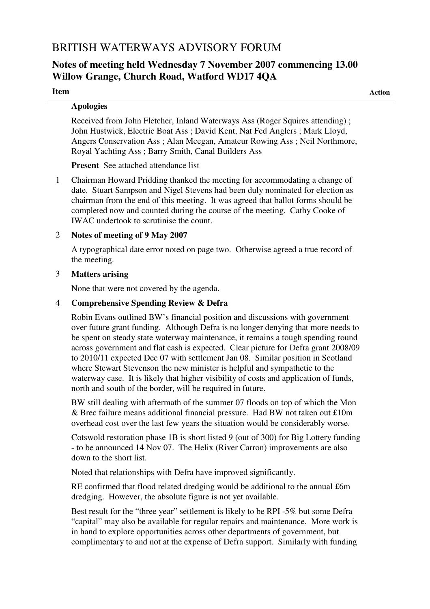# BRITISH WATERWAYS ADVISORY FORUM

# **Notes of meeting held Wednesday 7 November 2007 commencing 13.00 Willow Grange, Church Road, Watford WD17 4QA**

**Item Action**

## **Apologies**

Received from John Fletcher, Inland Waterways Ass (Roger Squires attending) ; John Hustwick, Electric Boat Ass ; David Kent, Nat Fed Anglers ; Mark Lloyd, Angers Conservation Ass ; Alan Meegan, Amateur Rowing Ass ; Neil Northmore, Royal Yachting Ass ; Barry Smith, Canal Builders Ass

**Present** See attached attendance list

1 Chairman Howard Pridding thanked the meeting for accommodating a change of date. Stuart Sampson and Nigel Stevens had been duly nominated for election as chairman from the end of this meeting. It was agreed that ballot forms should be completed now and counted during the course of the meeting. Cathy Cooke of IWAC undertook to scrutinise the count.

## 2 **Notes of meeting of 9 May 2007**

A typographical date error noted on page two. Otherwise agreed a true record of the meeting.

## 3 **Matters arising**

None that were not covered by the agenda.

## 4 **Comprehensive Spending Review & Defra**

Robin Evans outlined BW's financial position and discussions with government over future grant funding. Although Defra is no longer denying that more needs to be spent on steady state waterway maintenance, it remains a tough spending round across government and flat cash is expected. Clear picture for Defra grant 2008/09 to 2010/11 expected Dec 07 with settlement Jan 08. Similar position in Scotland where Stewart Stevenson the new minister is helpful and sympathetic to the waterway case. It is likely that higher visibility of costs and application of funds, north and south of the border, will be required in future.

BW still dealing with aftermath of the summer 07 floods on top of which the Mon & Brec failure means additional financial pressure. Had BW not taken out £10m overhead cost over the last few years the situation would be considerably worse.

Cotswold restoration phase 1B is short listed 9 (out of 300) for Big Lottery funding - to be announced 14 Nov 07. The Helix (River Carron) improvements are also down to the short list.

Noted that relationships with Defra have improved significantly.

RE confirmed that flood related dredging would be additional to the annual £6m dredging. However, the absolute figure is not yet available.

Best result for the "three year" settlement is likely to be RPI -5% but some Defra "capital" may also be available for regular repairs and maintenance. More work is in hand to explore opportunities across other departments of government, but complimentary to and not at the expense of Defra support. Similarly with funding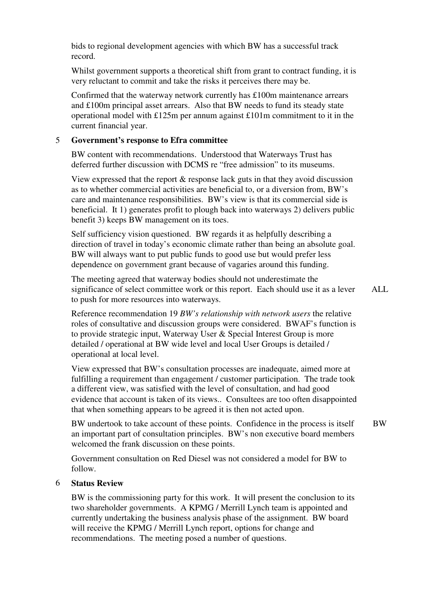bids to regional development agencies with which BW has a successful track record.

Whilst government supports a theoretical shift from grant to contract funding, it is very reluctant to commit and take the risks it perceives there may be.

Confirmed that the waterway network currently has £100m maintenance arrears and £100m principal asset arrears. Also that BW needs to fund its steady state operational model with £125m per annum against £101m commitment to it in the current financial year.

#### 5 **Government's response to Efra committee**

BW content with recommendations. Understood that Waterways Trust has deferred further discussion with DCMS re "free admission" to its museums.

View expressed that the report  $\&$  response lack guts in that they avoid discussion as to whether commercial activities are beneficial to, or a diversion from, BW's care and maintenance responsibilities. BW's view is that its commercial side is beneficial. It 1) generates profit to plough back into waterways 2) delivers public benefit 3) keeps BW management on its toes.

Self sufficiency vision questioned. BW regards it as helpfully describing a direction of travel in today's economic climate rather than being an absolute goal. BW will always want to put public funds to good use but would prefer less dependence on government grant because of vagaries around this funding.

The meeting agreed that waterway bodies should not underestimate the significance of select committee work or this report. Each should use it as a lever to push for more resources into waterways.

ALL.

Reference recommendation 19 *BW's relationship with network users* the relative roles of consultative and discussion groups were considered. BWAF's function is to provide strategic input, Waterway User & Special Interest Group is more detailed / operational at BW wide level and local User Groups is detailed / operational at local level.

View expressed that BW's consultation processes are inadequate, aimed more at fulfilling a requirement than engagement / customer participation. The trade took a different view, was satisfied with the level of consultation, and had good evidence that account is taken of its views.. Consultees are too often disappointed that when something appears to be agreed it is then not acted upon.

BW undertook to take account of these points. Confidence in the process is itself an important part of consultation principles. BW's non executive board members welcomed the frank discussion on these points. BW

Government consultation on Red Diesel was not considered a model for BW to follow.

#### 6 **Status Review**

BW is the commissioning party for this work. It will present the conclusion to its two shareholder governments. A KPMG / Merrill Lynch team is appointed and currently undertaking the business analysis phase of the assignment. BW board will receive the KPMG / Merrill Lynch report, options for change and recommendations. The meeting posed a number of questions.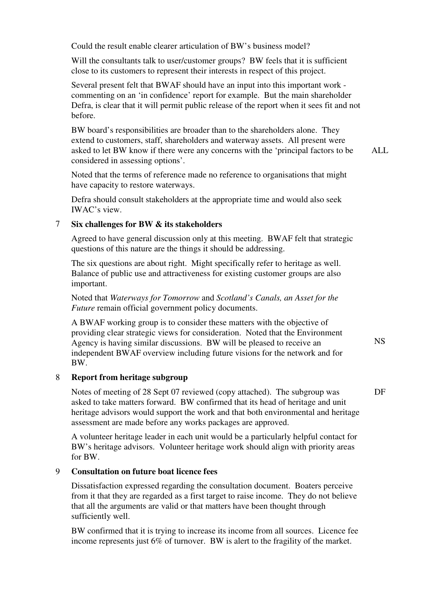Could the result enable clearer articulation of BW's business model?

Will the consultants talk to user/customer groups? BW feels that it is sufficient close to its customers to represent their interests in respect of this project.

Several present felt that BWAF should have an input into this important work commenting on an 'in confidence' report for example. But the main shareholder Defra, is clear that it will permit public release of the report when it sees fit and not before.

BW board's responsibilities are broader than to the shareholders alone. They extend to customers, staff, shareholders and waterway assets. All present were asked to let BW know if there were any concerns with the 'principal factors to be considered in assessing options'. ALL.

Noted that the terms of reference made no reference to organisations that might have capacity to restore waterways.

Defra should consult stakeholders at the appropriate time and would also seek IWAC's view.

#### 7 **Six challenges for BW & its stakeholders**

Agreed to have general discussion only at this meeting. BWAF felt that strategic questions of this nature are the things it should be addressing.

The six questions are about right. Might specifically refer to heritage as well. Balance of public use and attractiveness for existing customer groups are also important.

Noted that *Waterways for Tomorrow* and *Scotland's Canals, an Asset for the Future* remain official government policy documents.

A BWAF working group is to consider these matters with the objective of providing clear strategic views for consideration. Noted that the Environment Agency is having similar discussions. BW will be pleased to receive an independent BWAF overview including future visions for the network and for BW.

#### 8 **Report from heritage subgroup**

Notes of meeting of 28 Sept 07 reviewed (copy attached). The subgroup was asked to take matters forward. BW confirmed that its head of heritage and unit heritage advisors would support the work and that both environmental and heritage assessment are made before any works packages are approved.

A volunteer heritage leader in each unit would be a particularly helpful contact for BW's heritage advisors. Volunteer heritage work should align with priority areas for BW.

# 9 **Consultation on future boat licence fees**

Dissatisfaction expressed regarding the consultation document. Boaters perceive from it that they are regarded as a first target to raise income. They do not believe that all the arguments are valid or that matters have been thought through sufficiently well.

BW confirmed that it is trying to increase its income from all sources. Licence fee income represents just 6% of turnover. BW is alert to the fragility of the market.

NS

DF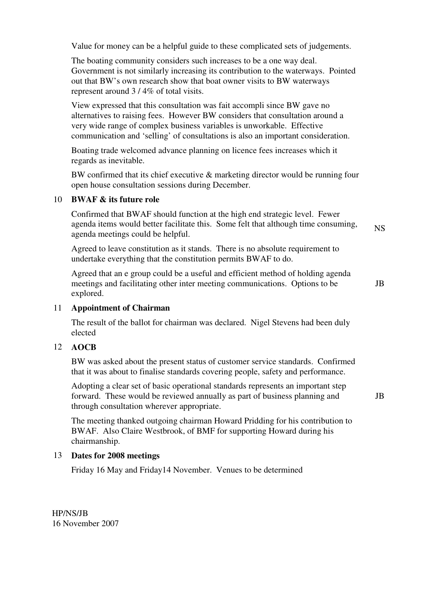Value for money can be a helpful guide to these complicated sets of judgements.

The boating community considers such increases to be a one way deal. Government is not similarly increasing its contribution to the waterways. Pointed out that BW's own research show that boat owner visits to BW waterways represent around 3 / 4% of total visits.

View expressed that this consultation was fait accompli since BW gave no alternatives to raising fees. However BW considers that consultation around a very wide range of complex business variables is unworkable. Effective communication and 'selling' of consultations is also an important consideration.

Boating trade welcomed advance planning on licence fees increases which it regards as inevitable.

BW confirmed that its chief executive & marketing director would be running four open house consultation sessions during December.

#### 10 **BWAF & its future role**

Confirmed that BWAF should function at the high end strategic level. Fewer agenda items would better facilitate this. Some felt that although time consuming, agenda meetings could be helpful.

Agreed to leave constitution as it stands. There is no absolute requirement to undertake everything that the constitution permits BWAF to do.

Agreed that an e group could be a useful and efficient method of holding agenda meetings and facilitating other inter meeting communications. Options to be explored.

JB

NS

#### 11 **Appointment of Chairman**

The result of the ballot for chairman was declared. Nigel Stevens had been duly elected

#### 12 **AOCB**

BW was asked about the present status of customer service standards. Confirmed that it was about to finalise standards covering people, safety and performance.

Adopting a clear set of basic operational standards represents an important step forward. These would be reviewed annually as part of business planning and through consultation wherever appropriate.

JB

The meeting thanked outgoing chairman Howard Pridding for his contribution to BWAF. Also Claire Westbrook, of BMF for supporting Howard during his chairmanship.

#### 13 **Dates for 2008 meetings**

Friday 16 May and Friday14 November. Venues to be determined

HP/NS/JB 16 November 2007